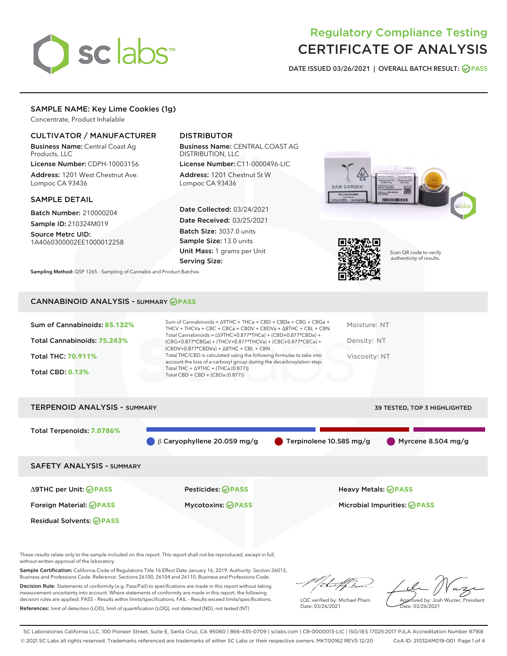# **sclabs**™

# Regulatory Compliance Testing CERTIFICATE OF ANALYSIS

DATE ISSUED 03/26/2021 | OVERALL BATCH RESULT: @ PASS

# SAMPLE NAME: Key Lime Cookies (1g)

Concentrate, Product Inhalable

# CULTIVATOR / MANUFACTURER

Business Name: Central Coast Ag Products, LLC

License Number: CDPH-10003156 Address: 1201 West Chestnut Ave. Lompoc CA 93436

# SAMPLE DETAIL

Batch Number: 210000204 Sample ID: 210324M019

Source Metrc UID: 1A4060300002EE1000012258

# DISTRIBUTOR

Business Name: CENTRAL COAST AG DISTRIBUTION, LLC

License Number: C11-0000496-LIC Address: 1201 Chestnut St W Lompoc CA 93436

Date Collected: 03/24/2021 Date Received: 03/25/2021 Batch Size: 3037.0 units Sample Size: 13.0 units Unit Mass: 1 grams per Unit Serving Size:





Scan QR code to verify authenticity of results.

Sampling Method: QSP 1265 - Sampling of Cannabis and Product Batches

# CANNABINOID ANALYSIS - SUMMARY **PASS**

| Sum of Cannabinoids = $\triangle$ 9THC + THCa + CBD + CBDa + CBG + CBGa +<br>Sum of Cannabinoids: 85.132%<br>Moisture: NT<br>THCV + THCVa + CBC + CBCa + CBDV + CBDVa + $\land$ 8THC + CBL + CBN<br>Total Cannabinoids = $(\Delta$ 9THC+0.877*THCa) + (CBD+0.877*CBDa) +<br>Total Cannabinoids: 75.243%<br>Density: NT<br>(CBG+0.877*CBGa) + (THCV+0.877*THCVa) + (CBC+0.877*CBCa) +<br>$(CBDV+0.877*CBDVa) + \Delta 8THC + CBL + CBN$<br>Total THC/CBD is calculated using the following formulas to take into<br><b>Total THC: 70.911%</b><br>Viscosity: NT<br>account the loss of a carboxyl group during the decarboxylation step:<br>Total THC = $\triangle$ 9THC + (THCa (0.877))<br><b>Total CBD: 0.13%</b><br>Total CBD = $CBD + (CBDa (0.877))$ |  |
|----------------------------------------------------------------------------------------------------------------------------------------------------------------------------------------------------------------------------------------------------------------------------------------------------------------------------------------------------------------------------------------------------------------------------------------------------------------------------------------------------------------------------------------------------------------------------------------------------------------------------------------------------------------------------------------------------------------------------------------------------------|--|
|----------------------------------------------------------------------------------------------------------------------------------------------------------------------------------------------------------------------------------------------------------------------------------------------------------------------------------------------------------------------------------------------------------------------------------------------------------------------------------------------------------------------------------------------------------------------------------------------------------------------------------------------------------------------------------------------------------------------------------------------------------|--|



These results relate only to the sample included on this report. This report shall not be reproduced, except in full, without written approval of the laboratory.

Sample Certification: California Code of Regulations Title 16 Effect Date January 16, 2019. Authority: Section 26013, Business and Professions Code. Reference: Sections 26100, 26104 and 26110, Business and Professions Code.

Decision Rule: Statements of conformity (e.g. Pass/Fail) to specifications are made in this report without taking measurement uncertainty into account. Where statements of conformity are made in this report, the following decision rules are applied: PASS – Results within limits/specifications, FAIL – Results exceed limits/specifications. References: limit of detection (LOD), limit of quantification (LOQ), not detected (ND), not tested (NT)

that f

LQC verified by: Michael Pham Date: 03/26/2021

Approved by: Josh Wurzer, President ate: 03/26/2021

SC Laboratories California LLC. 100 Pioneer Street, Suite E, Santa Cruz, CA 95060 | 866-435-0709 | sclabs.com | C8-0000013-LIC | ISO/IES 17025:2017 PJLA Accreditation Number 87168 © 2021 SC Labs all rights reserved. Trademarks referenced are trademarks of either SC Labs or their respective owners. MKT00162 REV5 12/20 CoA ID: 210324M019-001 Page 1 of 4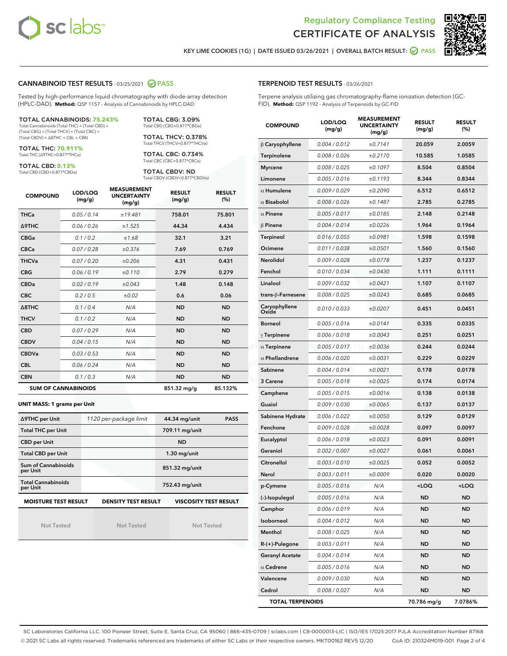



KEY LIME COOKIES (1G) | DATE ISSUED 03/26/2021 | OVERALL BATCH RESULT: @ PASS

# CANNABINOID TEST RESULTS - 03/25/2021 @ PASS

Tested by high-performance liquid chromatography with diode-array detection (HPLC-DAD). **Method:** QSP 1157 - Analysis of Cannabinoids by HPLC-DAD

TOTAL CANNABINOIDS: **75.243%** Total Cannabinoids (Total THC) + (Total CBD) + (Total CBG) + (Total THCV) + (Total CBC) + (Total CBDV) + ∆8THC + CBL + CBN

TOTAL THC: **70.911%** Total THC (∆9THC+0.877\*THCa)

TOTAL CBD: **0.13%**

Total CBD (CBD+0.877\*CBDa)

TOTAL CBG: 3.09% Total CBG (CBG+0.877\*CBGa)

TOTAL THCV: 0.378% Total THCV (THCV+0.877\*THCVa)

TOTAL CBC: 0.734% Total CBC (CBC+0.877\*CBCa)

TOTAL CBDV: ND Total CBDV (CBDV+0.877\*CBDVa)

| <b>COMPOUND</b>  | LOD/LOQ<br>(mg/g)          | <b>MEASUREMENT</b><br><b>UNCERTAINTY</b><br>(mg/g) | <b>RESULT</b><br>(mg/g) | <b>RESULT</b><br>(%) |
|------------------|----------------------------|----------------------------------------------------|-------------------------|----------------------|
| <b>THCa</b>      | 0.05/0.14                  | ±19.481                                            | 758.01                  | 75.801               |
| <b>A9THC</b>     | 0.06/0.26                  | ±1.525                                             | 44.34                   | 4.434                |
| <b>CBGa</b>      | 0.1 / 0.2                  | ±1.68                                              | 32.1                    | 3.21                 |
| <b>CBCa</b>      | 0.07/0.28                  | ±0.376                                             | 7.69                    | 0.769                |
| <b>THCVa</b>     | 0.07/0.20                  | ±0.206                                             | 4.31                    | 0.431                |
| <b>CBG</b>       | 0.06/0.19                  | ±0.110                                             | 2.79                    | 0.279                |
| <b>CBDa</b>      | 0.02/0.19                  | ±0.043                                             | 1.48                    | 0.148                |
| <b>CBC</b>       | 0.2/0.5                    | $\pm 0.02$                                         | 0.6                     | 0.06                 |
| $\triangle$ 8THC | 0.1/0.4                    | N/A                                                | <b>ND</b>               | <b>ND</b>            |
| <b>THCV</b>      | 0.1 / 0.2                  | N/A                                                | <b>ND</b>               | <b>ND</b>            |
| <b>CBD</b>       | 0.07/0.29                  | N/A                                                | <b>ND</b>               | <b>ND</b>            |
| <b>CBDV</b>      | 0.04 / 0.15                | N/A                                                | <b>ND</b>               | <b>ND</b>            |
| <b>CBDVa</b>     | 0.03/0.53                  | N/A                                                | <b>ND</b>               | <b>ND</b>            |
| <b>CBL</b>       | 0.06 / 0.24                | N/A                                                | <b>ND</b>               | <b>ND</b>            |
| <b>CBN</b>       | 0.1/0.3                    | N/A                                                | <b>ND</b>               | <b>ND</b>            |
|                  | <b>SUM OF CANNABINOIDS</b> |                                                    | 851.32 mg/g             | 85.132%              |

#### **UNIT MASS: 1 grams per Unit**

| ∆9THC per Unit                        | 1120 per-package limit     | 44.34 mg/unit<br><b>PASS</b> |
|---------------------------------------|----------------------------|------------------------------|
| <b>Total THC per Unit</b>             |                            | 709.11 mg/unit               |
| <b>CBD per Unit</b>                   |                            | <b>ND</b>                    |
| <b>Total CBD per Unit</b>             |                            | $1.30$ mg/unit               |
| Sum of Cannabinoids<br>per Unit       |                            | 851.32 mg/unit               |
| <b>Total Cannabinoids</b><br>per Unit |                            | 752.43 mg/unit               |
| <b>MOISTURE TEST RESULT</b>           | <b>DENSITY TEST RESULT</b> | <b>VISCOSITY TEST RESULT</b> |

Not Tested

Not Tested

Not Tested

TERPENOID TEST RESULTS - 03/26/2021

Terpene analysis utilizing gas chromatography-flame ionization detection (GC-FID). **Method:** QSP 1192 - Analysis of Terpenoids by GC-FID

| <b>COMPOUND</b>         | LOD/LOQ<br>(mg/g) | <b>MEASUREMENT</b><br><b>UNCERTAINTY</b><br>(mg/g) | <b>RESULT</b><br>(mg/g)                         | <b>RESULT</b><br>$(\%)$ |
|-------------------------|-------------------|----------------------------------------------------|-------------------------------------------------|-------------------------|
| $\beta$ Caryophyllene   | 0.004 / 0.012     | ±0.7141                                            | 20.059                                          | 2.0059                  |
| Terpinolene             | 0.008 / 0.026     | ±0.2170                                            | 10.585                                          | 1.0585                  |
| <b>Myrcene</b>          | 0.008 / 0.025     | ±0.1097                                            | 8.504                                           | 0.8504                  |
| Limonene                | 0.005 / 0.016     | ±0.1193                                            | 8.344                                           | 0.8344                  |
| $\alpha$ Humulene       | 0.009/0.029       | ±0.2090                                            | 6.512                                           | 0.6512                  |
| $\alpha$ Bisabolol      | 0.008 / 0.026     | ±0.1487                                            | 2.785                                           | 0.2785                  |
| $\alpha$ Pinene         | 0.005 / 0.017     | ±0.0185                                            | 2.148                                           | 0.2148                  |
| $\beta$ Pinene          | 0.004 / 0.014     | ±0.0226                                            | 1.964                                           | 0.1964                  |
| <b>Terpineol</b>        | 0.016 / 0.055     | ±0.0981                                            | 1.598                                           | 0.1598                  |
| Ocimene                 | 0.011 / 0.038     | ±0.0501                                            | 1.560                                           | 0.1560                  |
| <b>Nerolidol</b>        | 0.009 / 0.028     | ±0.0778                                            | 1.237                                           | 0.1237                  |
| Fenchol                 | 0.010 / 0.034     | ±0.0430                                            | 1.111                                           | 0.1111                  |
| Linalool                | 0.009 / 0.032     | ±0.0421                                            | 1.107                                           | 0.1107                  |
| trans-β-Farnesene       | 0.008 / 0.025     | ±0.0243                                            | 0.685                                           | 0.0685                  |
| Caryophyllene<br>Oxide  | 0.010 / 0.033     | ±0.0207                                            | 0.451                                           | 0.0451                  |
| <b>Borneol</b>          | 0.005 / 0.016     | ±0.0141                                            | 0.335                                           | 0.0335                  |
| $\gamma$ Terpinene      | 0.006 / 0.018     | ±0.0043                                            | 0.251                                           | 0.0251                  |
| $\alpha$ Terpinene      | 0.005 / 0.017     | ±0.0036                                            | 0.244                                           | 0.0244                  |
| $\alpha$ Phellandrene   | 0.006 / 0.020     | ±0.0031                                            | 0.229                                           | 0.0229                  |
| Sabinene                | 0.004 / 0.014     | ±0.0021                                            | 0.178                                           | 0.0178                  |
| 3 Carene                | 0.005 / 0.018     | ±0.0025                                            | 0.174                                           | 0.0174                  |
| Camphene                | 0.005 / 0.015     | ±0.0016                                            | 0.138                                           | 0.0138                  |
| Guaiol                  | 0.009 / 0.030     | ±0.0065                                            | 0.137                                           | 0.0137                  |
| Sabinene Hydrate        | 0.006 / 0.022     | ±0.0050                                            | 0.129                                           | 0.0129                  |
| Fenchone                | 0.009 / 0.028     | ±0.0028                                            | 0.097                                           | 0.0097                  |
| Eucalyptol              | 0.006 / 0.018     | ±0.0023                                            | 0.091                                           | 0.0091                  |
| Geraniol                | 0.002 / 0.007     | ±0.0027                                            | 0.061                                           | 0.0061                  |
| Citronellol             | 0.003 / 0.010     | ±0.0025                                            | 0.052                                           | 0.0052                  |
| Nerol                   | 0.003 / 0.011     | ±0.0009                                            | 0.020                                           | 0.0020                  |
| p-Cymene                | 0.005 / 0.016     | N/A                                                | <loq< th=""><th><loq< th=""></loq<></th></loq<> | <loq< th=""></loq<>     |
| (-)-Isopulegol          | 0.005 / 0.016     | N/A                                                | ND                                              | ND                      |
| Camphor                 | 0.006 / 0.019     | N/A                                                | ND                                              | ND                      |
| Isoborneol              | 0.004 / 0.012     | N/A                                                | ND                                              | ND                      |
| Menthol                 | 0.008 / 0.025     | N/A                                                | ND                                              | ND                      |
| R-(+)-Pulegone          | 0.003 / 0.011     | N/A                                                | ND                                              | ND                      |
| <b>Geranyl Acetate</b>  | 0.004 / 0.014     | N/A                                                | ND                                              | ND                      |
| $\alpha$ Cedrene        | 0.005 / 0.016     | N/A                                                | ND                                              | ND                      |
| Valencene               | 0.009 / 0.030     | N/A                                                | ND                                              | ND                      |
| Cedrol                  | 0.008 / 0.027     | N/A                                                | ND                                              | ND                      |
| <b>TOTAL TERPENOIDS</b> |                   |                                                    | 70.786 mg/g                                     | 7.0786%                 |

SC Laboratories California LLC. 100 Pioneer Street, Suite E, Santa Cruz, CA 95060 | 866-435-0709 | sclabs.com | C8-0000013-LIC | ISO/IES 17025:2017 PJLA Accreditation Number 87168 © 2021 SC Labs all rights reserved. Trademarks referenced are trademarks of either SC Labs or their respective owners. MKT00162 REV5 12/20 CoA ID: 210324M019-001 Page 2 of 4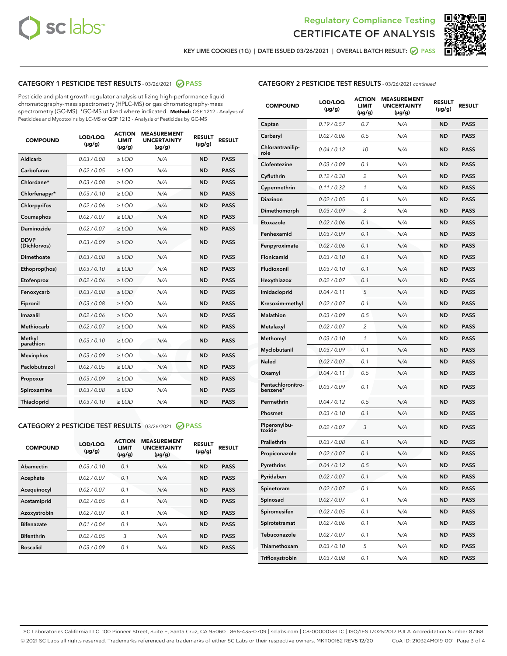



KEY LIME COOKIES (1G) | DATE ISSUED 03/26/2021 | OVERALL BATCH RESULT: @ PASS

# CATEGORY 1 PESTICIDE TEST RESULTS - 03/26/2021 2 PASS

Pesticide and plant growth regulator analysis utilizing high-performance liquid chromatography-mass spectrometry (HPLC-MS) or gas chromatography-mass spectrometry (GC-MS). \*GC-MS utilized where indicated. **Method:** QSP 1212 - Analysis of Pesticides and Mycotoxins by LC-MS or QSP 1213 - Analysis of Pesticides by GC-MS

| <b>COMPOUND</b>             | LOD/LOQ<br>$(\mu g/g)$ | <b>ACTION</b><br><b>LIMIT</b><br>$(\mu g/g)$ | <b>MEASUREMENT</b><br><b>UNCERTAINTY</b><br>$(\mu g/g)$ | <b>RESULT</b><br>$(\mu g/g)$ | <b>RESULT</b> |
|-----------------------------|------------------------|----------------------------------------------|---------------------------------------------------------|------------------------------|---------------|
| Aldicarb                    | 0.03 / 0.08            | $\ge$ LOD                                    | N/A                                                     | <b>ND</b>                    | <b>PASS</b>   |
| Carbofuran                  | 0.02/0.05              | $>$ LOD                                      | N/A                                                     | <b>ND</b>                    | <b>PASS</b>   |
| Chlordane*                  | 0.03 / 0.08            | $\ge$ LOD                                    | N/A                                                     | <b>ND</b>                    | <b>PASS</b>   |
| Chlorfenapyr*               | 0.03/0.10              | $\ge$ LOD                                    | N/A                                                     | <b>ND</b>                    | <b>PASS</b>   |
| Chlorpyrifos                | 0.02 / 0.06            | $\ge$ LOD                                    | N/A                                                     | <b>ND</b>                    | <b>PASS</b>   |
| Coumaphos                   | 0.02 / 0.07            | $\ge$ LOD                                    | N/A                                                     | <b>ND</b>                    | <b>PASS</b>   |
| <b>Daminozide</b>           | 0.02 / 0.07            | $\ge$ LOD                                    | N/A                                                     | <b>ND</b>                    | <b>PASS</b>   |
| <b>DDVP</b><br>(Dichlorvos) | 0.03/0.09              | $\ge$ LOD                                    | N/A                                                     | <b>ND</b>                    | <b>PASS</b>   |
| <b>Dimethoate</b>           | 0.03 / 0.08            | $\ge$ LOD                                    | N/A                                                     | <b>ND</b>                    | <b>PASS</b>   |
| Ethoprop(hos)               | 0.03/0.10              | $\ge$ LOD                                    | N/A                                                     | <b>ND</b>                    | <b>PASS</b>   |
| Etofenprox                  | 0.02 / 0.06            | $\ge$ LOD                                    | N/A                                                     | <b>ND</b>                    | <b>PASS</b>   |
| Fenoxycarb                  | 0.03 / 0.08            | $\ge$ LOD                                    | N/A                                                     | <b>ND</b>                    | <b>PASS</b>   |
| Fipronil                    | 0.03 / 0.08            | $>$ LOD                                      | N/A                                                     | <b>ND</b>                    | <b>PASS</b>   |
| <b>Imazalil</b>             | 0.02 / 0.06            | $\ge$ LOD                                    | N/A                                                     | <b>ND</b>                    | <b>PASS</b>   |
| <b>Methiocarb</b>           | 0.02 / 0.07            | $\ge$ LOD                                    | N/A                                                     | <b>ND</b>                    | <b>PASS</b>   |
| Methyl<br>parathion         | 0.03/0.10              | $\ge$ LOD                                    | N/A                                                     | <b>ND</b>                    | <b>PASS</b>   |
| <b>Mevinphos</b>            | 0.03/0.09              | $>$ LOD                                      | N/A                                                     | <b>ND</b>                    | <b>PASS</b>   |
| Paclobutrazol               | 0.02 / 0.05            | $\ge$ LOD                                    | N/A                                                     | <b>ND</b>                    | <b>PASS</b>   |
| Propoxur                    | 0.03/0.09              | $>$ LOD                                      | N/A                                                     | <b>ND</b>                    | <b>PASS</b>   |
| Spiroxamine                 | 0.03 / 0.08            | $\ge$ LOD                                    | N/A                                                     | <b>ND</b>                    | <b>PASS</b>   |
| <b>Thiacloprid</b>          | 0.03/0.10              | $\ge$ LOD                                    | N/A                                                     | <b>ND</b>                    | <b>PASS</b>   |

#### CATEGORY 2 PESTICIDE TEST RESULTS - 03/26/2021 @ PASS

| <b>COMPOUND</b>   | LOD/LOQ<br>$(\mu g/g)$ | <b>ACTION</b><br><b>LIMIT</b><br>$(\mu g/g)$ | <b>MEASUREMENT</b><br><b>UNCERTAINTY</b><br>$(\mu g/g)$ | <b>RESULT</b><br>$(\mu g/g)$ | <b>RESULT</b> |
|-------------------|------------------------|----------------------------------------------|---------------------------------------------------------|------------------------------|---------------|
| Abamectin         | 0.03/0.10              | 0.1                                          | N/A                                                     | <b>ND</b>                    | <b>PASS</b>   |
| Acephate          | 0.02/0.07              | 0.1                                          | N/A                                                     | <b>ND</b>                    | <b>PASS</b>   |
| Acequinocyl       | 0.02/0.07              | 0.1                                          | N/A                                                     | <b>ND</b>                    | <b>PASS</b>   |
| Acetamiprid       | 0.02/0.05              | 0.1                                          | N/A                                                     | <b>ND</b>                    | <b>PASS</b>   |
| Azoxystrobin      | 0.02/0.07              | 0.1                                          | N/A                                                     | <b>ND</b>                    | <b>PASS</b>   |
| <b>Bifenazate</b> | 0.01/0.04              | 0.1                                          | N/A                                                     | <b>ND</b>                    | <b>PASS</b>   |
| <b>Bifenthrin</b> | 0.02/0.05              | 3                                            | N/A                                                     | <b>ND</b>                    | <b>PASS</b>   |
| <b>Boscalid</b>   | 0.03/0.09              | 0.1                                          | N/A                                                     | <b>ND</b>                    | <b>PASS</b>   |

| <b>CATEGORY 2 PESTICIDE TEST RESULTS</b> - 03/26/2021 continued |
|-----------------------------------------------------------------|
|-----------------------------------------------------------------|

| <b>COMPOUND</b>               | LOD/LOQ<br>$(\mu g/g)$ | <b>ACTION</b><br>LIMIT<br>$(\mu g/g)$ | <b>MEASUREMENT</b><br><b>UNCERTAINTY</b><br>(µg/g) | <b>RESULT</b><br>(µg/g) | <b>RESULT</b> |
|-------------------------------|------------------------|---------------------------------------|----------------------------------------------------|-------------------------|---------------|
| Captan                        | 0.19/0.57              | 0.7                                   | N/A                                                | <b>ND</b>               | <b>PASS</b>   |
| Carbaryl                      | 0.02 / 0.06            | 0.5                                   | N/A                                                | ND                      | <b>PASS</b>   |
| Chlorantranilip-<br>role      | 0.04/0.12              | 10                                    | N/A                                                | ND                      | <b>PASS</b>   |
| Clofentezine                  | 0.03 / 0.09            | 0.1                                   | N/A                                                | ND                      | <b>PASS</b>   |
| Cyfluthrin                    | 0.12 / 0.38            | 2                                     | N/A                                                | ND                      | <b>PASS</b>   |
| Cypermethrin                  | 0.11 / 0.32            | 1                                     | N/A                                                | ND                      | <b>PASS</b>   |
| <b>Diazinon</b>               | 0.02 / 0.05            | 0.1                                   | N/A                                                | ND                      | <b>PASS</b>   |
| Dimethomorph                  | 0.03 / 0.09            | 2                                     | N/A                                                | ND                      | <b>PASS</b>   |
| Etoxazole                     | 0.02 / 0.06            | 0.1                                   | N/A                                                | ND                      | <b>PASS</b>   |
| Fenhexamid                    | 0.03 / 0.09            | 0.1                                   | N/A                                                | ND                      | <b>PASS</b>   |
| Fenpyroximate                 | 0.02 / 0.06            | 0.1                                   | N/A                                                | ND                      | <b>PASS</b>   |
| <b>Flonicamid</b>             | 0.03 / 0.10            | 0.1                                   | N/A                                                | ND                      | <b>PASS</b>   |
| Fludioxonil                   | 0.03/0.10              | 0.1                                   | N/A                                                | ND                      | <b>PASS</b>   |
| Hexythiazox                   | 0.02 / 0.07            | 0.1                                   | N/A                                                | ND                      | <b>PASS</b>   |
| Imidacloprid                  | 0.04/0.11              | 5                                     | N/A                                                | ND                      | <b>PASS</b>   |
| Kresoxim-methyl               | 0.02 / 0.07            | 0.1                                   | N/A                                                | ND                      | <b>PASS</b>   |
| <b>Malathion</b>              | 0.03 / 0.09            | 0.5                                   | N/A                                                | ND                      | <b>PASS</b>   |
| Metalaxyl                     | 0.02 / 0.07            | 2                                     | N/A                                                | ND                      | <b>PASS</b>   |
| Methomyl                      | 0.03 / 0.10            | 1                                     | N/A                                                | ND                      | <b>PASS</b>   |
| Myclobutanil                  | 0.03 / 0.09            | 0.1                                   | N/A                                                | ND                      | <b>PASS</b>   |
| <b>Naled</b>                  | 0.02 / 0.07            | 0.1                                   | N/A                                                | ND                      | <b>PASS</b>   |
| Oxamyl                        | 0.04 / 0.11            | 0.5                                   | N/A                                                | ND                      | <b>PASS</b>   |
| Pentachloronitro-<br>benzene* | 0.03 / 0.09            | 0.1                                   | N/A                                                | ND                      | <b>PASS</b>   |
| Permethrin                    | 0.04 / 0.12            | 0.5                                   | N/A                                                | ND                      | <b>PASS</b>   |
| Phosmet                       | 0.03 / 0.10            | 0.1                                   | N/A                                                | ND                      | <b>PASS</b>   |
| Piperonylbu-<br>toxide        | 0.02 / 0.07            | 3                                     | N/A                                                | ND                      | <b>PASS</b>   |
| Prallethrin                   | 0.03 / 0.08            | 0.1                                   | N/A                                                | ND                      | <b>PASS</b>   |
| Propiconazole                 | 0.02 / 0.07            | 0.1                                   | N/A                                                | ND                      | <b>PASS</b>   |
| Pyrethrins                    | 0.04 / 0.12            | 0.5                                   | N/A                                                | ND                      | PASS          |
| Pyridaben                     | 0.02 / 0.07            | 0.1                                   | N/A                                                | ND                      | <b>PASS</b>   |
| Spinetoram                    | 0.02 / 0.07            | 0.1                                   | N/A                                                | <b>ND</b>               | <b>PASS</b>   |
| Spinosad                      | 0.02 / 0.07            | 0.1                                   | N/A                                                | ND                      | <b>PASS</b>   |
| Spiromesifen                  | 0.02 / 0.05            | 0.1                                   | N/A                                                | ND                      | <b>PASS</b>   |
| Spirotetramat                 | 0.02 / 0.06            | 0.1                                   | N/A                                                | ND                      | <b>PASS</b>   |
| Tebuconazole                  | 0.02 / 0.07            | 0.1                                   | N/A                                                | ND                      | <b>PASS</b>   |
| Thiamethoxam                  | 0.03 / 0.10            | 5                                     | N/A                                                | ND                      | <b>PASS</b>   |
| Trifloxystrobin               | 0.03 / 0.08            | 0.1                                   | N/A                                                | ND                      | <b>PASS</b>   |

SC Laboratories California LLC. 100 Pioneer Street, Suite E, Santa Cruz, CA 95060 | 866-435-0709 | sclabs.com | C8-0000013-LIC | ISO/IES 17025:2017 PJLA Accreditation Number 87168 © 2021 SC Labs all rights reserved. Trademarks referenced are trademarks of either SC Labs or their respective owners. MKT00162 REV5 12/20 CoA ID: 210324M019-001 Page 3 of 4